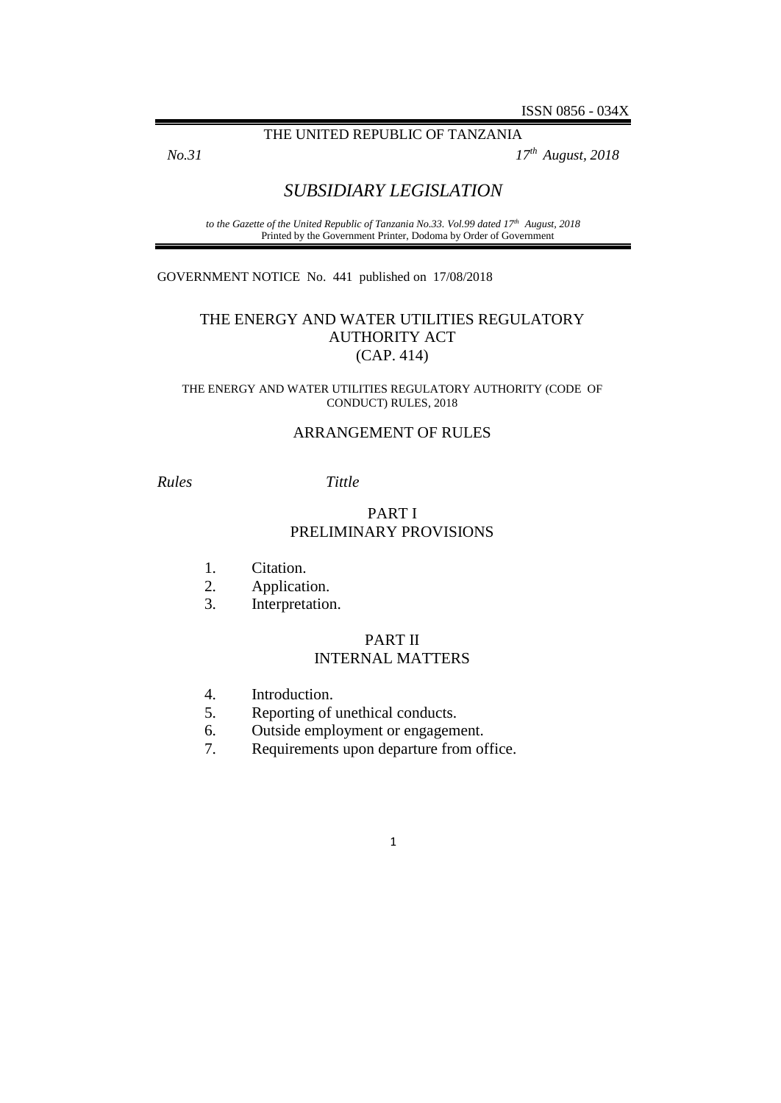#### THE UNITED REPUBLIC OF TANZANIA

*No.31 17th August, 2018*

# *SUBSIDIARY LEGISLATION*

*to the Gazette of the United Republic of Tanzania No.33. Vol.99 dated 17th August, 2018* Printed by the Government Printer, Dodoma by Order of Government

GOVERNMENT NOTICE No. 441 published on 17/08/2018

## THE ENERGY AND WATER UTILITIES REGULATORY AUTHORITY ACT (CAP. 414)

#### THE ENERGY AND WATER UTILITIES REGULATORY AUTHORITY (CODE OF CONDUCT) RULES, 2018

### ARRANGEMENT OF RULES

### *Rules Tittle*

## PART I PRELIMINARY PROVISIONS

- 1. Citation.
- 2. Application.
- 3. Interpretation.

## PART II INTERNAL MATTERS

- 4. Introduction.
- 5. Reporting of unethical conducts.
- 6. Outside employment or engagement.
- 7. Requirements upon departure from office.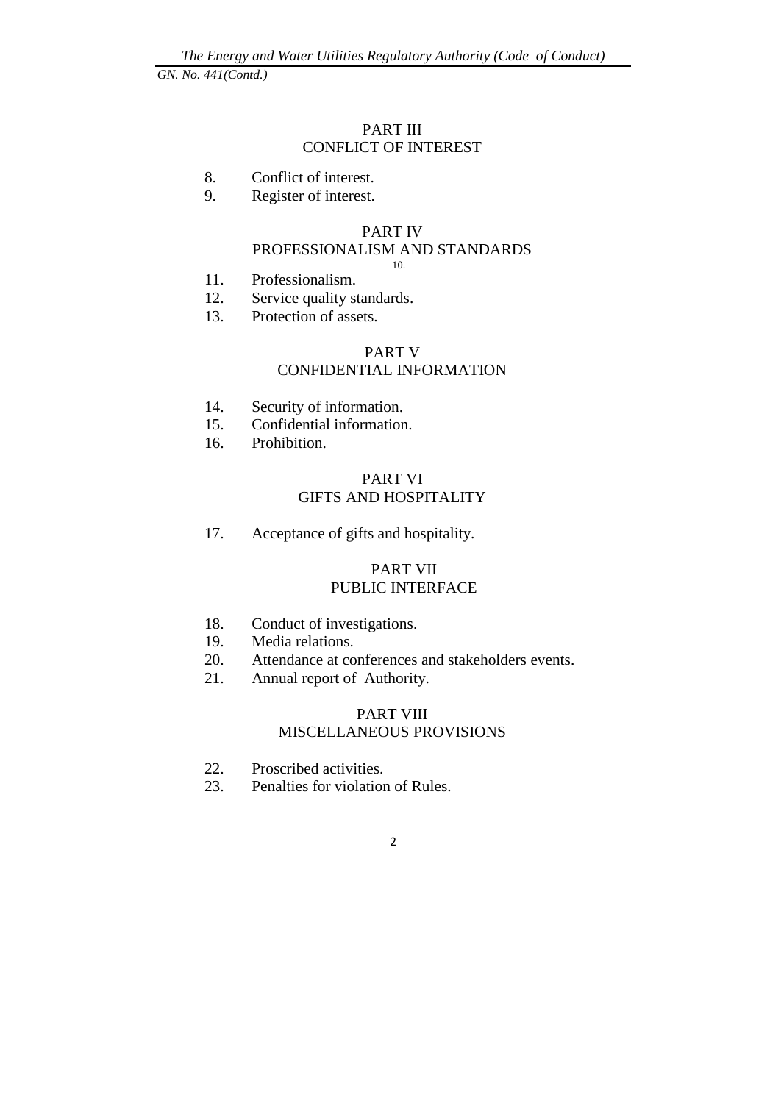## PART III CONFLICT OF INTEREST

- 8. Conflict of interest.
- 9. Register of interest.

## PART IV

#### PROFESSIONALISM AND STANDARDS 10.

- 11. Professionalism.
- 12. Service quality standards.
- 13. Protection of assets.

## PART V CONFIDENTIAL INFORMATION

- 14. Security of information.
- 15. Confidential information.
- 16. Prohibition.

## PART VI GIFTS AND HOSPITALITY

17. Acceptance of gifts and hospitality.

### PART VII PUBLIC INTERFACE

- 18. Conduct of investigations.
- 19. Media relations.
- 20. Attendance at conferences and stakeholders events.
- 21. Annual report of Authority.

## PART VIII MISCELLANEOUS PROVISIONS

- 22. Proscribed activities.
- 23. Penalties for violation of Rules.
	- 2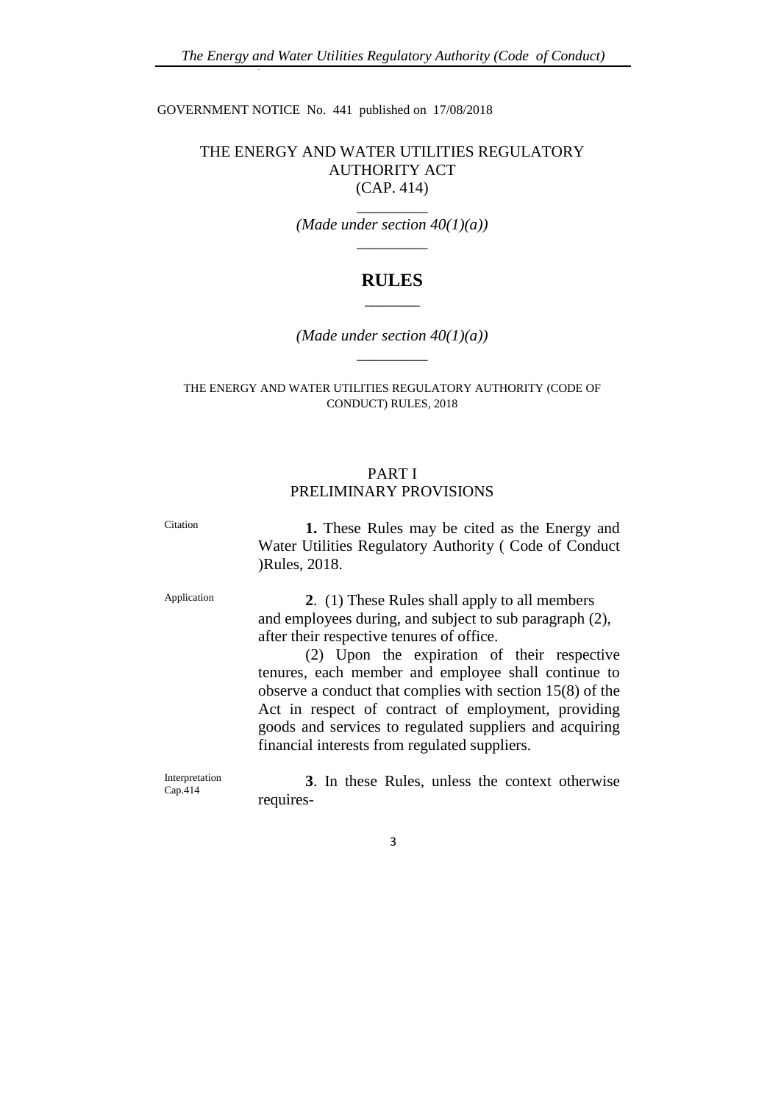GOVERNMENT NOTICE No. 441 published on 17/08/2018

## THE ENERGY AND WATER UTILITIES REGULATORY AUTHORITY ACT (CAP. 414)

 $\overline{\phantom{a}}$  ,  $\overline{\phantom{a}}$ *(Made under section 40(1)(a))*  $\overline{\phantom{a}}$  ,  $\overline{\phantom{a}}$  ,  $\overline{\phantom{a}}$  ,  $\overline{\phantom{a}}$  ,  $\overline{\phantom{a}}$  ,  $\overline{\phantom{a}}$  ,  $\overline{\phantom{a}}$  ,  $\overline{\phantom{a}}$  ,  $\overline{\phantom{a}}$  ,  $\overline{\phantom{a}}$  ,  $\overline{\phantom{a}}$  ,  $\overline{\phantom{a}}$  ,  $\overline{\phantom{a}}$  ,  $\overline{\phantom{a}}$  ,  $\overline{\phantom{a}}$  ,  $\overline{\phantom{a}}$ 

# **RULES**  $\overline{\phantom{a}}$

*(Made under section 40(1)(a))*  $\overline{\phantom{a}}$  ,  $\overline{\phantom{a}}$ 

#### THE ENERGY AND WATER UTILITIES REGULATORY AUTHORITY (CODE OF CONDUCT) RULES, 2018

### PART I PRELIMINARY PROVISIONS

Citation **1.** These Rules may be cited as the Energy and Water Utilities Regulatory Authority ( Code of Conduct )Rules, 2018.

Application **2**. (1) These Rules shall apply to all members and employees during, and subject to sub paragraph (2), after their respective tenures of office.

> (2) Upon the expiration of their respective tenures, each member and employee shall continue to observe a conduct that complies with section 15(8) of the Act in respect of contract of employment, providing goods and services to regulated suppliers and acquiring financial interests from regulated suppliers.

Interpretation Cap.414

**3**. In these Rules, unless the context otherwise requires-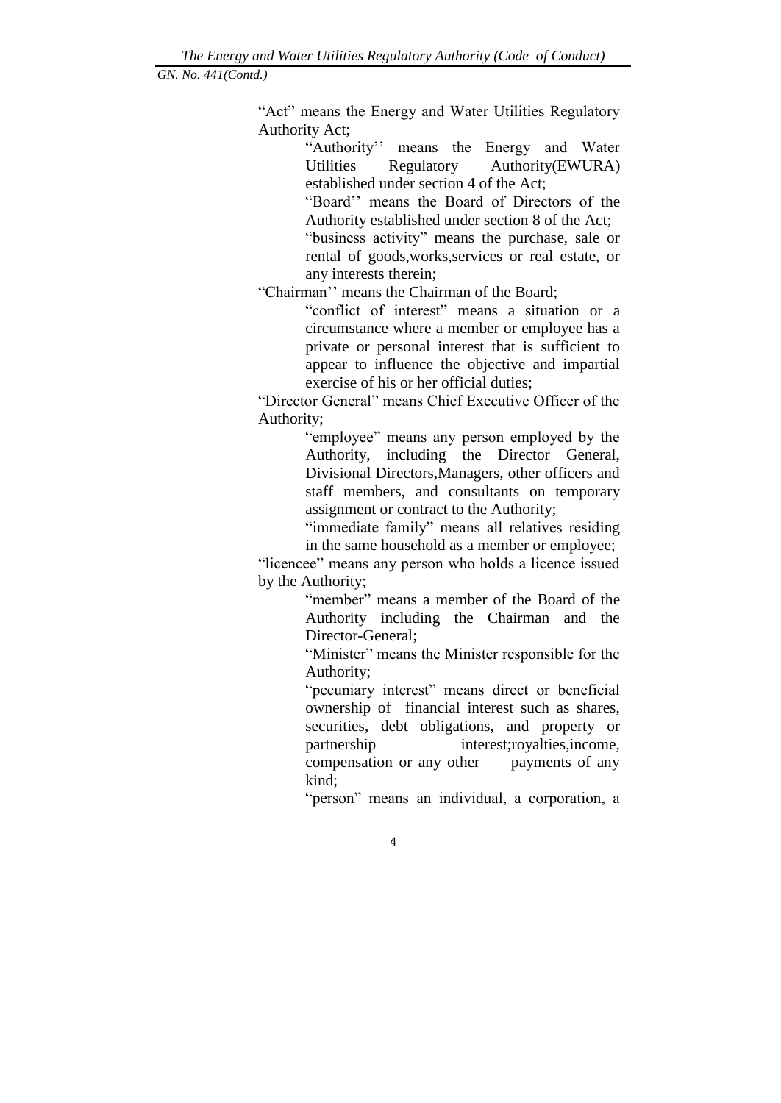"Act" means the Energy and Water Utilities Regulatory Authority Act;

> "Authority'' means the Energy and Water Utilities Regulatory Authority(EWURA) established under section 4 of the Act;

> "Board'' means the Board of Directors of the Authority established under section 8 of the Act;

> "business activity" means the purchase, sale or rental of goods,works,services or real estate, or any interests therein;

"Chairman'' means the Chairman of the Board;

"conflict of interest" means a situation or a circumstance where a member or employee has a private or personal interest that is sufficient to appear to influence the objective and impartial exercise of his or her official duties;

"Director General" means Chief Executive Officer of the Authority;

> "employee" means any person employed by the Authority, including the Director General, Divisional Directors,Managers, other officers and staff members, and consultants on temporary assignment or contract to the Authority;

> "immediate family" means all relatives residing in the same household as a member or employee;

"licencee" means any person who holds a licence issued by the Authority;

> "member" means a member of the Board of the Authority including the Chairman and the Director-General;

> "Minister" means the Minister responsible for the Authority;

> "pecuniary interest" means direct or beneficial ownership of financial interest such as shares, securities, debt obligations, and property or partnership interest;royalties,income, compensation or any other payments of any kind;

> "person" means an individual, a corporation, a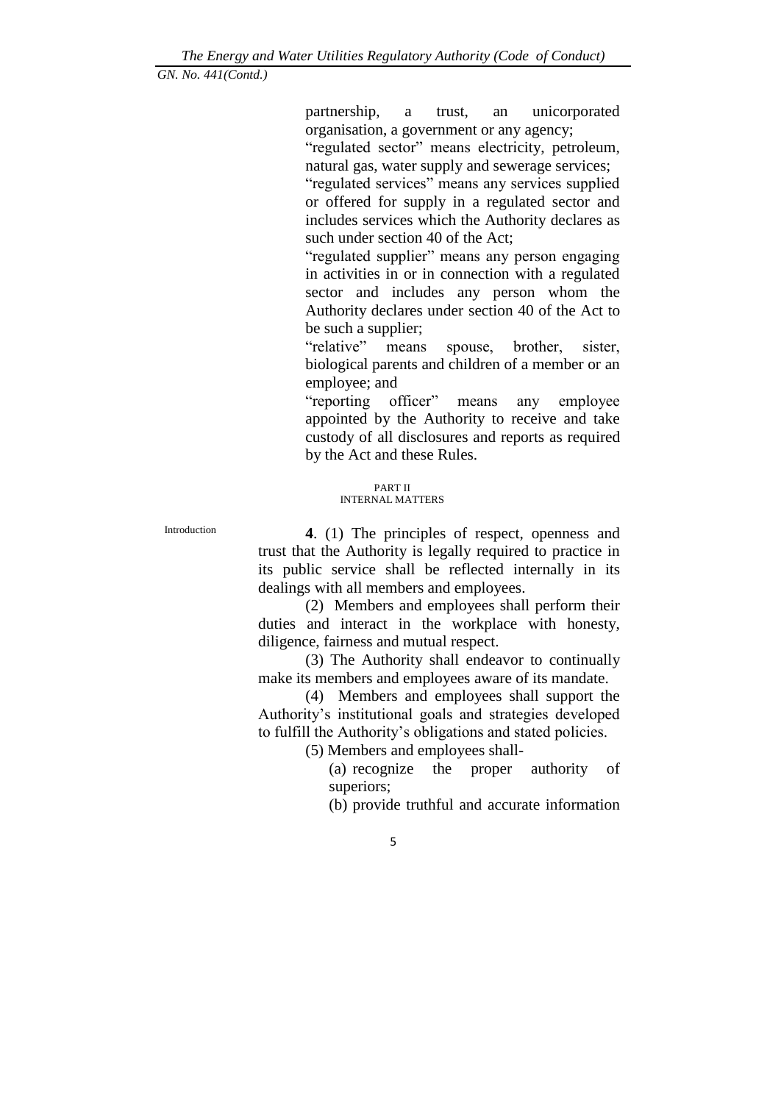partnership, a trust, an unicorporated organisation, a government or any agency;

"regulated sector" means electricity, petroleum, natural gas, water supply and sewerage services;

"regulated services" means any services supplied or offered for supply in a regulated sector and includes services which the Authority declares as such under section 40 of the Act;

"regulated supplier" means any person engaging in activities in or in connection with a regulated sector and includes any person whom the Authority declares under section 40 of the Act to be such a supplier;

"relative" means spouse, brother, sister, biological parents and children of a member or an employee; and

"reporting officer" means any employee appointed by the Authority to receive and take custody of all disclosures and reports as required by the Act and these Rules.

#### PART II INTERNAL MATTERS

Introduction **4**. (1) The principles of respect, openness and trust that the Authority is legally required to practice in its public service shall be reflected internally in its dealings with all members and employees.

(2) Members and employees shall perform their duties and interact in the workplace with honesty, diligence, fairness and mutual respect.

(3) The Authority shall endeavor to continually make its members and employees aware of its mandate.

(4) Members and employees shall support the Authority's institutional goals and strategies developed to fulfill the Authority's obligations and stated policies.

(5) Members and employees shall-

(a) recognize the proper authority of superiors;

(b) provide truthful and accurate information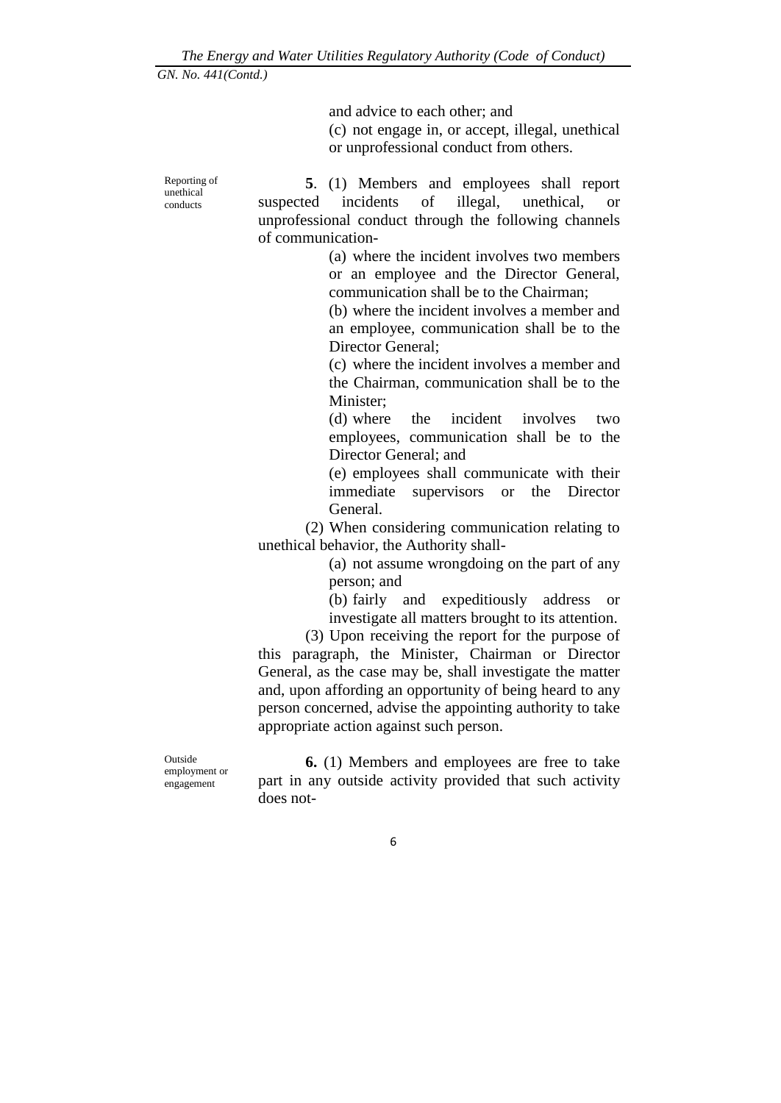Reporting of unethical conducts

and advice to each other; and (c) not engage in, or accept, illegal, unethical or unprofessional conduct from others.

**5**. (1) Members and employees shall report suspected incidents of illegal, unethical, or unprofessional conduct through the following channels of communication-

> (a) where the incident involves two members or an employee and the Director General, communication shall be to the Chairman;

> (b) where the incident involves a member and an employee, communication shall be to the Director General;

> (c) where the incident involves a member and the Chairman, communication shall be to the Minister;

> (d) where the incident involves two employees, communication shall be to the Director General; and

> (e) employees shall communicate with their immediate supervisors or the Director General.

(2) When considering communication relating to unethical behavior, the Authority shall-

> (a) not assume wrongdoing on the part of any person; and

> (b) fairly and expeditiously address or investigate all matters brought to its attention.

(3) Upon receiving the report for the purpose of this paragraph, the Minister, Chairman or Director General, as the case may be, shall investigate the matter and, upon affording an opportunity of being heard to any person concerned, advise the appointing authority to take appropriate action against such person.

Outside employment or engagement

**6.** (1) Members and employees are free to take part in any outside activity provided that such activity does not-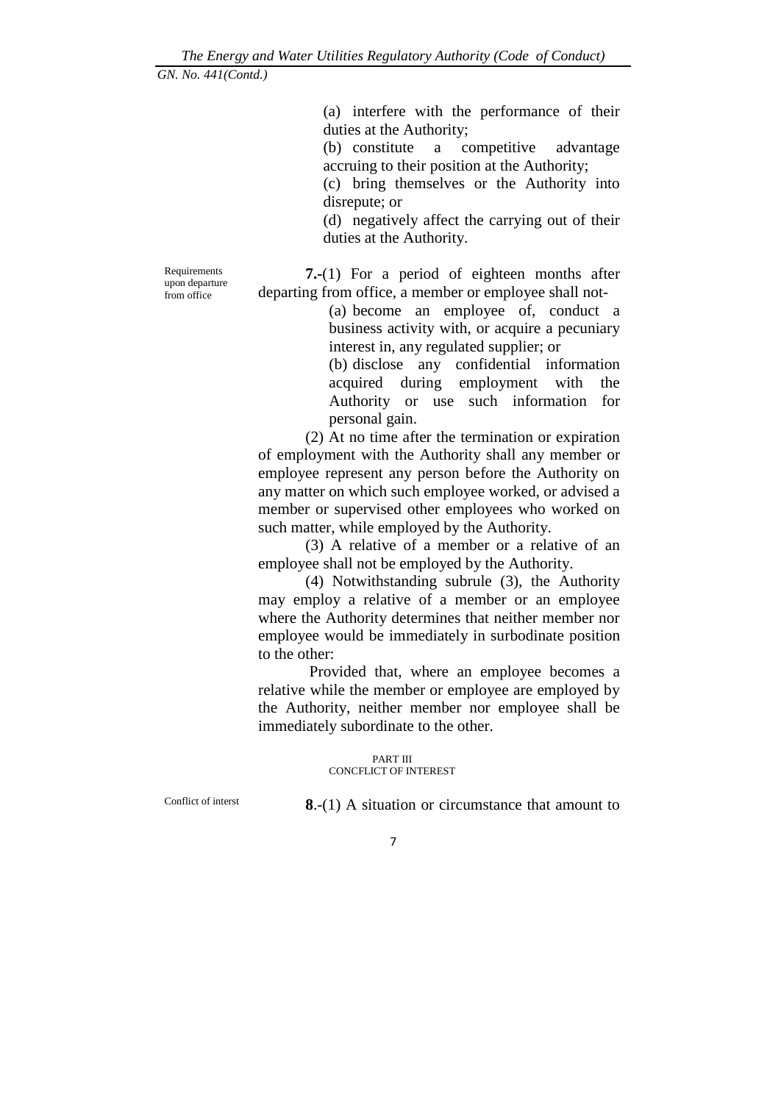(a) interfere with the performance of their duties at the Authority;

(b) constitute a competitive advantage accruing to their position at the Authority;

(c) bring themselves or the Authority into disrepute; or

(d) negatively affect the carrying out of their duties at the Authority.

**7.-**(1) For a period of eighteen months after departing from office, a member or employee shall not-

> (a) become an employee of, conduct a business activity with, or acquire a pecuniary interest in, any regulated supplier; or

> (b) disclose any confidential information acquired during employment with the Authority or use such information for personal gain.

(2) At no time after the termination or expiration of employment with the Authority shall any member or employee represent any person before the Authority on any matter on which such employee worked, or advised a member or supervised other employees who worked on such matter, while employed by the Authority.

(3) A relative of a member or a relative of an employee shall not be employed by the Authority.

(4) Notwithstanding subrule (3), the Authority may employ a relative of a member or an employee where the Authority determines that neither member nor employee would be immediately in surbodinate position to the other:

Provided that, where an employee becomes a relative while the member or employee are employed by the Authority, neither member nor employee shall be immediately subordinate to the other.

> PART III CONCFLICT OF INTEREST

Conflict of interst **8**.-(1) A situation or circumstance that amount to

Requirements upon departure from office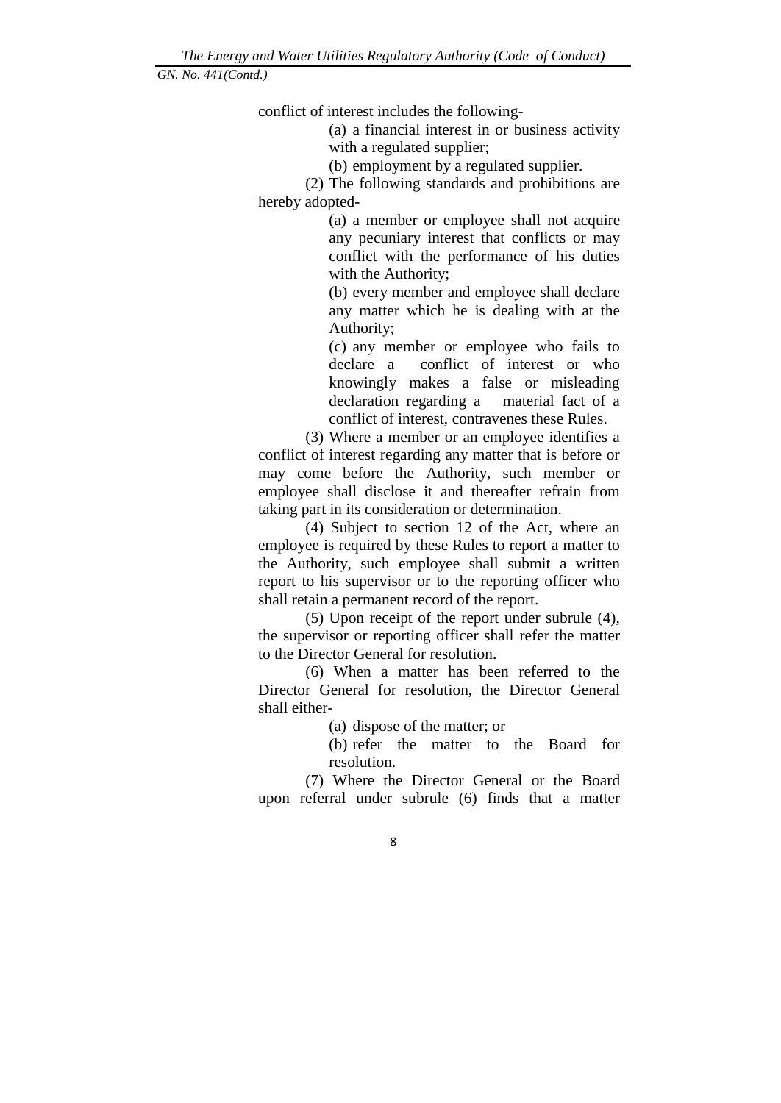conflict of interest includes the following-

(a) a financial interest in or business activity with a regulated supplier;

(b) employment by a regulated supplier.

(2) The following standards and prohibitions are hereby adopted-

> (a) a member or employee shall not acquire any pecuniary interest that conflicts or may conflict with the performance of his duties with the Authority;

> (b) every member and employee shall declare any matter which he is dealing with at the Authority;

> (c) any member or employee who fails to declare a conflict of interest or who knowingly makes a false or misleading declaration regarding a material fact of a conflict of interest, contravenes these Rules.

(3) Where a member or an employee identifies a conflict of interest regarding any matter that is before or may come before the Authority, such member or employee shall disclose it and thereafter refrain from taking part in its consideration or determination.

(4) Subject to section 12 of the Act, where an employee is required by these Rules to report a matter to the Authority, such employee shall submit a written report to his supervisor or to the reporting officer who shall retain a permanent record of the report.

(5) Upon receipt of the report under subrule (4), the supervisor or reporting officer shall refer the matter to the Director General for resolution.

(6) When a matter has been referred to the Director General for resolution, the Director General shall either-

(a) dispose of the matter; or

(b) refer the matter to the Board for resolution.

(7) Where the Director General or the Board upon referral under subrule (6) finds that a matter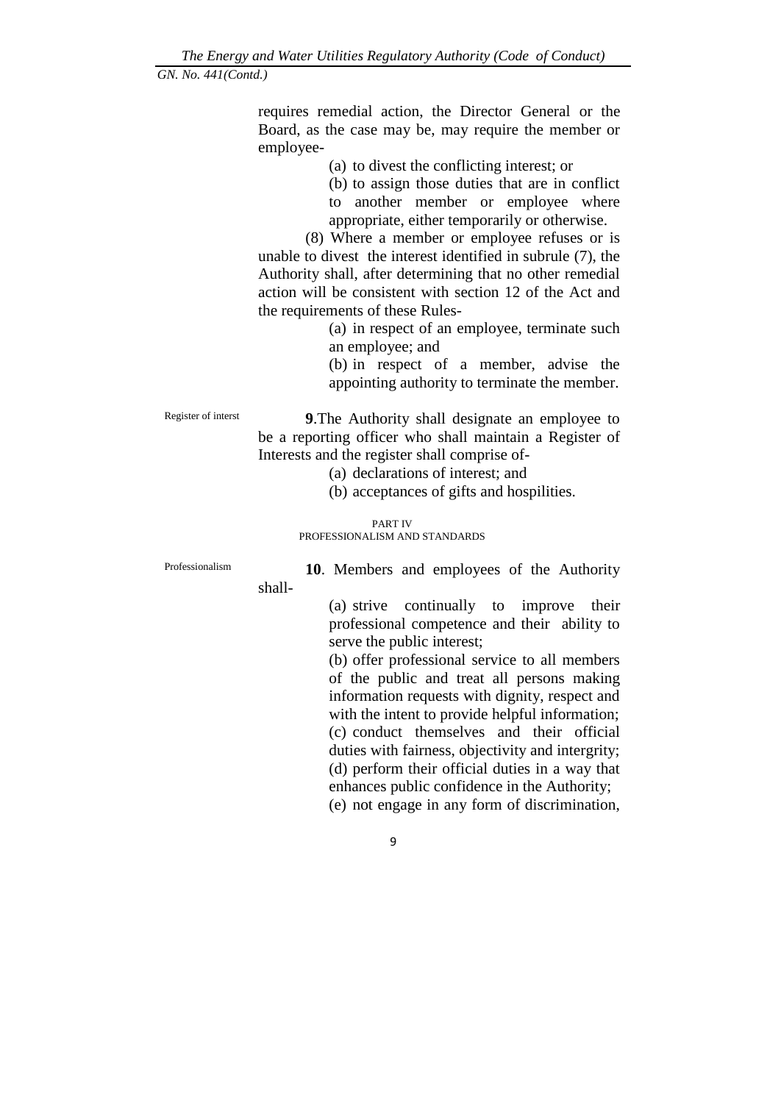requires remedial action, the Director General or the Board, as the case may be, may require the member or employee-

(a) to divest the conflicting interest; or

(b) to assign those duties that are in conflict to another member or employee where appropriate, either temporarily or otherwise.

(8) Where a member or employee refuses or is unable to divest the interest identified in subrule (7), the Authority shall, after determining that no other remedial action will be consistent with section 12 of the Act and the requirements of these Rules-

> (a) in respect of an employee, terminate such an employee; and

> (b) in respect of a member, advise the appointing authority to terminate the member.

Register of interst **9**.The Authority shall designate an employee to be a reporting officer who shall maintain a Register of Interests and the register shall comprise of-

(a) declarations of interest; and

(b) acceptances of gifts and hospilities.

#### PART IV PROFESSIONALISM AND STANDARDS

shall-

Professionalism **10**. Members and employees of the Authority

(a) strive continually to improve their professional competence and their ability to serve the public interest;

(b) offer professional service to all members of the public and treat all persons making information requests with dignity, respect and with the intent to provide helpful information; (c) conduct themselves and their official duties with fairness, objectivity and intergrity; (d) perform their official duties in a way that enhances public confidence in the Authority; (e) not engage in any form of discrimination,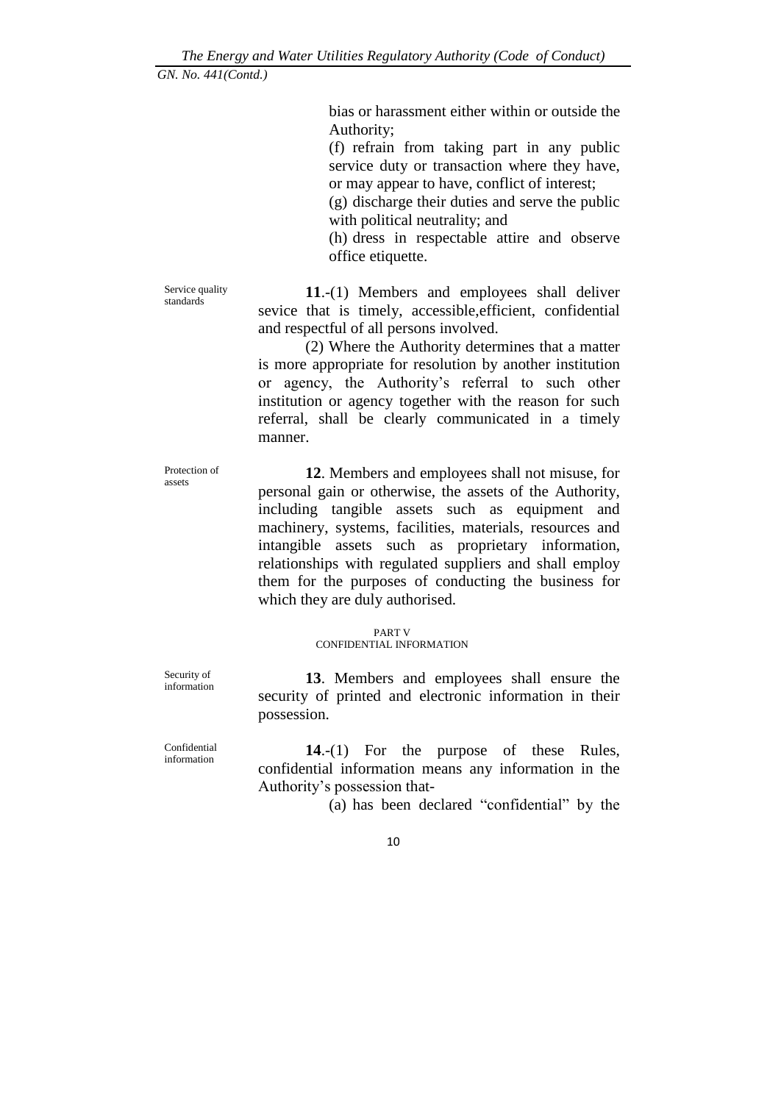bias or harassment either within or outside the Authority;

(f) refrain from taking part in any public service duty or transaction where they have, or may appear to have, conflict of interest;

(g) discharge their duties and serve the public with political neutrality; and

(h) dress in respectable attire and observe office etiquette.

Service quality standards

**11**.-(1) Members and employees shall deliver sevice that is timely, accessible,efficient, confidential and respectful of all persons involved.

(2) Where the Authority determines that a matter is more appropriate for resolution by another institution or agency, the Authority's referral to such other institution or agency together with the reason for such referral, shall be clearly communicated in a timely manner.

Protection of assets

**12**. Members and employees shall not misuse, for personal gain or otherwise, the assets of the Authority, including tangible assets such as equipment and machinery, systems, facilities, materials, resources and intangible assets such as proprietary information, relationships with regulated suppliers and shall employ them for the purposes of conducting the business for which they are duly authorised.

> PART V CONFIDENTIAL INFORMATION

Security of information

security of printed and electronic information in their possession.

**13**. Members and employees shall ensure the

**14**.-(1) For the purpose of these Rules, confidential information means any information in the Authority's possession that-

(a) has been declared "confidential" by the

Confidential information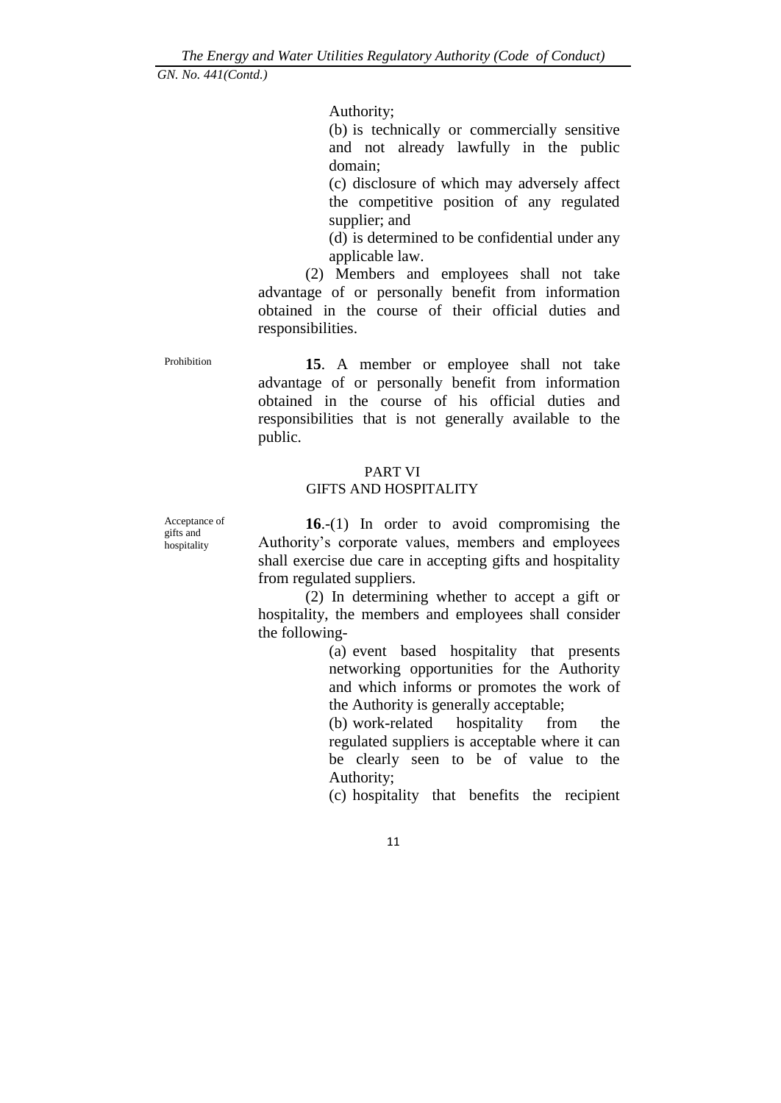Authority;

(b) is technically or commercially sensitive and not already lawfully in the public domain;

(c) disclosure of which may adversely affect the competitive position of any regulated supplier; and

(d) is determined to be confidential under any applicable law.

(2) Members and employees shall not take advantage of or personally benefit from information obtained in the course of their official duties and responsibilities.

Prohibition **15**. A member or employee shall not take advantage of or personally benefit from information obtained in the course of his official duties and responsibilities that is not generally available to the public.

### PART VI GIFTS AND HOSPITALITY

Acceptance of gifts and hospitality

**16**.-(1) In order to avoid compromising the Authority's corporate values, members and employees shall exercise due care in accepting gifts and hospitality from regulated suppliers.

(2) In determining whether to accept a gift or hospitality, the members and employees shall consider the following-

> (a) event based hospitality that presents networking opportunities for the Authority and which informs or promotes the work of the Authority is generally acceptable;

> (b) work-related hospitality from the regulated suppliers is acceptable where it can be clearly seen to be of value to the Authority;

(c) hospitality that benefits the recipient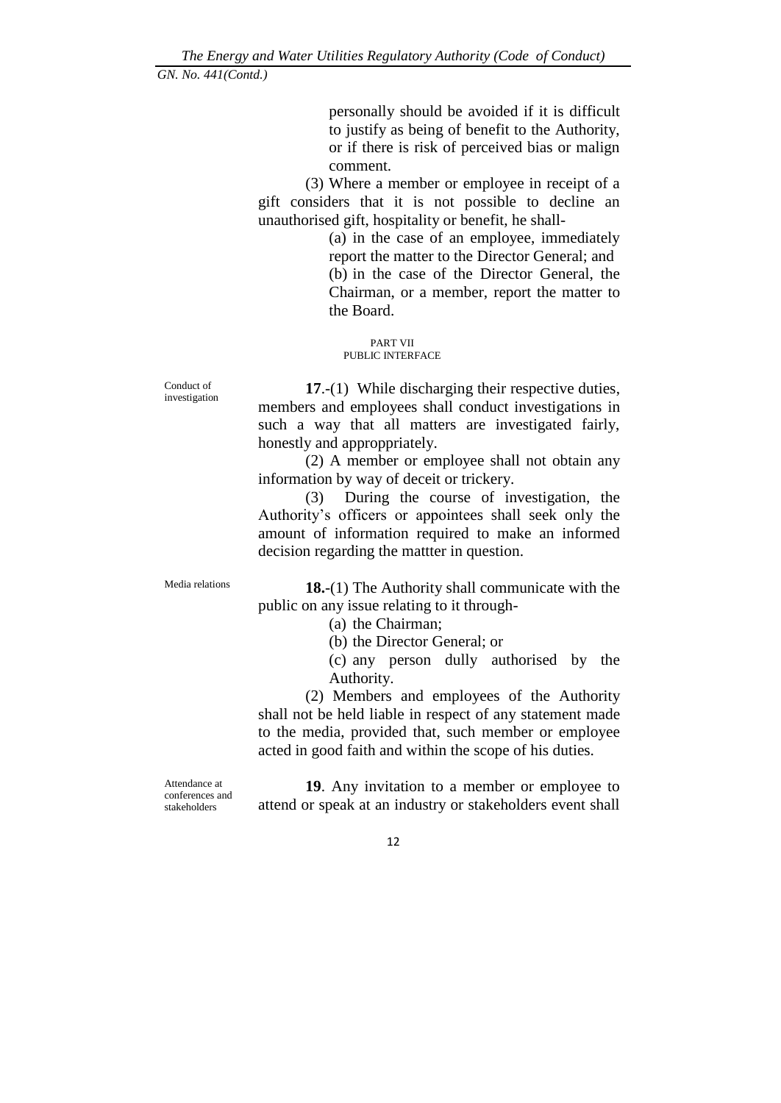personally should be avoided if it is difficult to justify as being of benefit to the Authority, or if there is risk of perceived bias or malign comment.

(3) Where a member or employee in receipt of a gift considers that it is not possible to decline an unauthorised gift, hospitality or benefit, he shall-

> (a) in the case of an employee, immediately report the matter to the Director General; and (b) in the case of the Director General, the Chairman, or a member, report the matter to the Board.

PART VII PUBLIC INTERFACE

**17**.-(1) While discharging their respective duties, members and employees shall conduct investigations in such a way that all matters are investigated fairly, honestly and approppriately.

(2) A member or employee shall not obtain any information by way of deceit or trickery.

(3) During the course of investigation, the Authority's officers or appointees shall seek only the amount of information required to make an informed decision regarding the mattter in question.

Conduct of investigation

Media relations **18.**-(1) The Authority shall communicate with the public on any issue relating to it through-

(a) the Chairman;

(b) the Director General; or

(c) any person dully authorised by the Authority.

(2) Members and employees of the Authority shall not be held liable in respect of any statement made to the media, provided that, such member or employee acted in good faith and within the scope of his duties.

Attendance at conferences and stakeholders

**19**. Any invitation to a member or employee to attend or speak at an industry or stakeholders event shall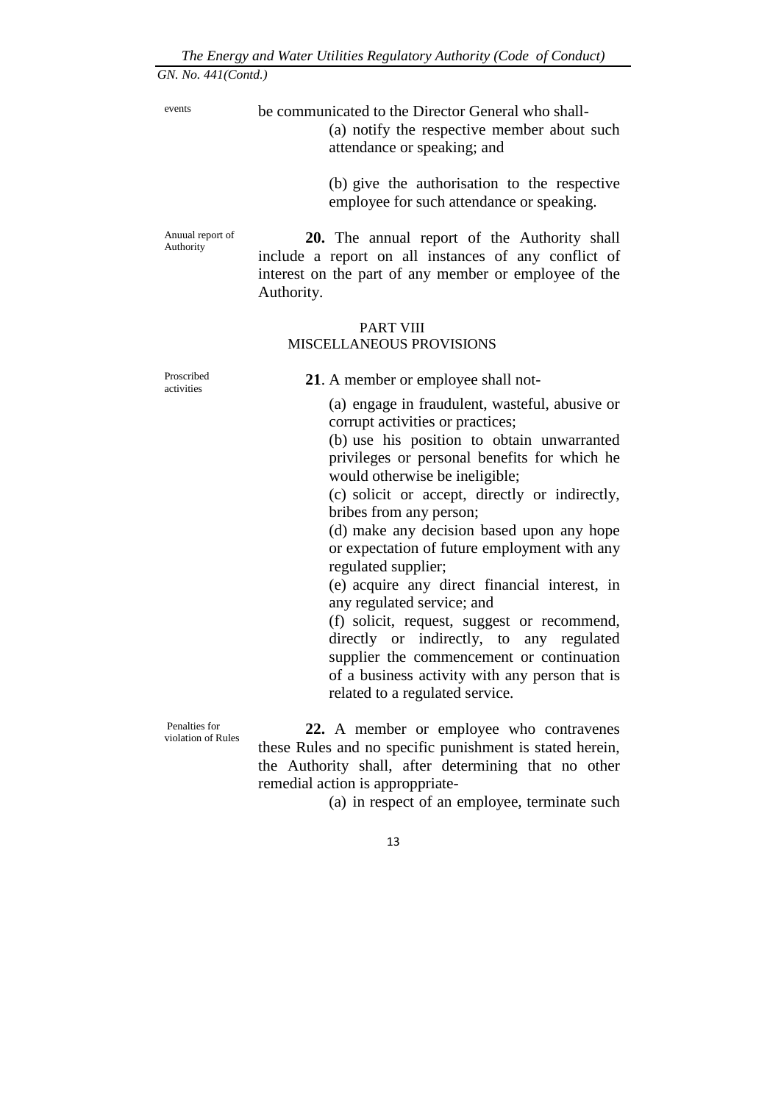events be communicated to the Director General who shall-

(a) notify the respective member about such attendance or speaking; and

(b) give the authorisation to the respective employee for such attendance or speaking.

Anuual report of Authority

**20.** The annual report of the Authority shall include a report on all instances of any conflict of interest on the part of any member or employee of the Authority.

#### PART VIII MISCELLANEOUS PROVISIONS

Proscribed activities

**21**. A member or employee shall not-

(a) engage in fraudulent, wasteful, abusive or corrupt activities or practices;

(b) use his position to obtain unwarranted privileges or personal benefits for which he would otherwise be ineligible;

(c) solicit or accept, directly or indirectly, bribes from any person;

(d) make any decision based upon any hope or expectation of future employment with any regulated supplier;

(e) acquire any direct financial interest, in any regulated service; and

(f) solicit, request, suggest or recommend, directly or indirectly, to any regulated supplier the commencement or continuation of a business activity with any person that is related to a regulated service.

Penalties for violation of Rules

**22.** A member or employee who contravenes these Rules and no specific punishment is stated herein, the Authority shall, after determining that no other remedial action is approppriate-

(a) in respect of an employee, terminate such